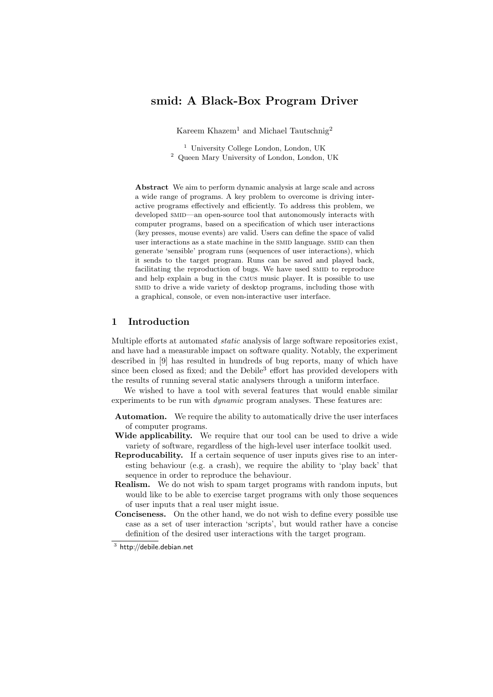# smid: A Black-Box Program Driver

Kareem Khazem<sup>1</sup> and Michael Tautschnig<sup>2</sup>

<sup>1</sup> University College London, London, UK <sup>2</sup> Queen Mary University of London, London, UK

Abstract We aim to perform dynamic analysis at large scale and across a wide range of programs. A key problem to overcome is driving interactive programs effectively and efficiently. To address this problem, we developed SMID—an open-source tool that autonomously interacts with computer programs, based on a specification of which user interactions (key presses, mouse events) are valid. Users can define the space of valid user interactions as a state machine in the SMID language. SMID can then generate 'sensible' program runs (sequences of user interactions), which it sends to the target program. Runs can be saved and played back, facilitating the reproduction of bugs. We have used SMID to reproduce and help explain a bug in the cmus music player. It is possible to use smid to drive a wide variety of desktop programs, including those with a graphical, console, or even non-interactive user interface.

# 1 Introduction

Multiple efforts at automated *static* analysis of large software repositories exist, and have had a measurable impact on software quality. Notably, the experiment described in [9] has resulted in hundreds of bug reports, many of which have since been closed as fixed; and the Debile<sup>3</sup> effort has provided developers with the results of running several static analysers through a uniform interface.

We wished to have a tool with several features that would enable similar experiments to be run with dynamic program analyses. These features are:

- Automation. We require the ability to automatically drive the user interfaces of computer programs.
- Wide applicability. We require that our tool can be used to drive a wide variety of software, regardless of the high-level user interface toolkit used.
- Reproducability. If a certain sequence of user inputs gives rise to an interesting behaviour (e.g. a crash), we require the ability to 'play back' that sequence in order to reproduce the behaviour.
- Realism. We do not wish to spam target programs with random inputs, but would like to be able to exercise target programs with only those sequences of user inputs that a real user might issue.
- Conciseness. On the other hand, we do not wish to define every possible use case as a set of user interaction 'scripts', but would rather have a concise definition of the desired user interactions with the target program.

 $^3$  http://debile.debian.net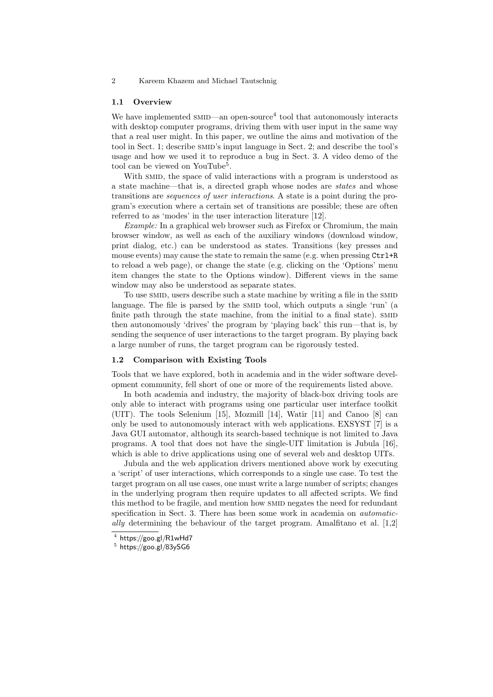### 2 Kareem Khazem and Michael Tautschnig

### 1.1 Overview

We have implemented SMID—an open-source<sup>4</sup> tool that autonomously interacts with desktop computer programs, driving them with user input in the same way that a real user might. In this paper, we outline the aims and motivation of the tool in Sect. 1; describe smid's input language in Sect. 2; and describe the tool's usage and how we used it to reproduce a bug in Sect. 3. A video demo of the tool can be viewed on YouTube<sup>5</sup>.

With SMID, the space of valid interactions with a program is understood as a state machine—that is, a directed graph whose nodes are states and whose transitions are sequences of user interactions. A state is a point during the program's execution where a certain set of transitions are possible; these are often referred to as 'modes' in the user interaction literature [12].

Example: In a graphical web browser such as Firefox or Chromium, the main browser window, as well as each of the auxiliary windows (download window, print dialog, etc.) can be understood as states. Transitions (key presses and mouse events) may cause the state to remain the same (e.g. when pressing  $\text{Ctrl+R}$ to reload a web page), or change the state (e.g. clicking on the 'Options' menu item changes the state to the Options window). Different views in the same window may also be understood as separate states.

To use SMID, users describe such a state machine by writing a file in the SMID language. The file is parsed by the SMID tool, which outputs a single 'run' (a finite path through the state machine, from the initial to a final state). SMID then autonomously 'drives' the program by 'playing back' this run—that is, by sending the sequence of user interactions to the target program. By playing back a large number of runs, the target program can be rigorously tested.

### 1.2 Comparison with Existing Tools

Tools that we have explored, both in academia and in the wider software development community, fell short of one or more of the requirements listed above.

In both academia and industry, the majority of black-box driving tools are only able to interact with programs using one particular user interface toolkit (UIT). The tools Selenium [15], Mozmill [14], Watir [11] and Canoo [8] can only be used to autonomously interact with web applications. EXSYST [7] is a Java GUI automator, although its search-based technique is not limited to Java programs. A tool that does not have the single-UIT limitation is Jubula [16], which is able to drive applications using one of several web and desktop UITs.

Jubula and the web application drivers mentioned above work by executing a 'script' of user interactions, which corresponds to a single use case. To test the target program on all use cases, one must write a large number of scripts; changes in the underlying program then require updates to all affected scripts. We find this method to be fragile, and mention how SMID negates the need for redundant specification in Sect. 3. There has been some work in academia on *automatic*ally determining the behaviour of the target program. Amalfitano et al. [1,2]

 $^4$  https://goo.gl/R1wHd7

 $^5$  https://goo.gl/83ySG6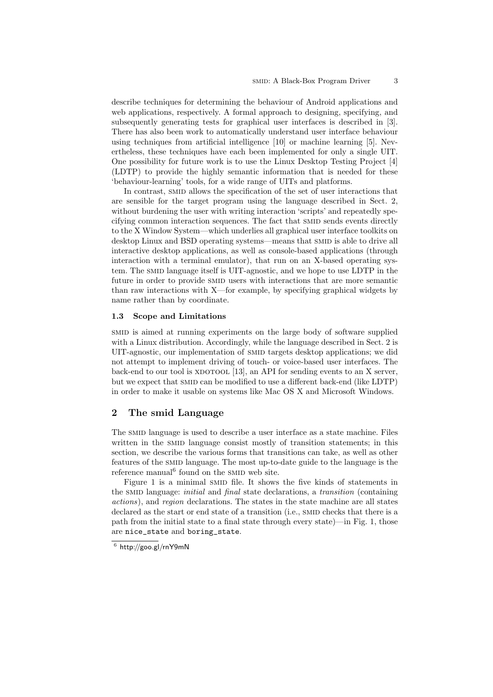describe techniques for determining the behaviour of Android applications and web applications, respectively. A formal approach to designing, specifying, and subsequently generating tests for graphical user interfaces is described in [3]. There has also been work to automatically understand user interface behaviour using techniques from artificial intelligence [10] or machine learning [5]. Nevertheless, these techniques have each been implemented for only a single UIT. One possibility for future work is to use the Linux Desktop Testing Project [4] (LDTP) to provide the highly semantic information that is needed for these 'behaviour-learning' tools, for a wide range of UITs and platforms.

In contrast, SMID allows the specification of the set of user interactions that are sensible for the target program using the language described in Sect. 2, without burdening the user with writing interaction 'scripts' and repeatedly specifying common interaction sequences. The fact that SMID sends events directly to the X Window System—which underlies all graphical user interface toolkits on desktop Linux and BSD operating systems—means that SMID is able to drive all interactive desktop applications, as well as console-based applications (through interaction with a terminal emulator), that run on an X-based operating system. The smid language itself is UIT-agnostic, and we hope to use LDTP in the future in order to provide SMID users with interactions that are more semantic than raw interactions with X—for example, by specifying graphical widgets by name rather than by coordinate.

### 1.3 Scope and Limitations

smid is aimed at running experiments on the large body of software supplied with a Linux distribution. Accordingly, while the language described in Sect. 2 is UIT-agnostic, our implementation of smid targets desktop applications; we did not attempt to implement driving of touch- or voice-based user interfaces. The back-end to our tool is XDOTOOL  $[13]$ , an API for sending events to an X server, but we expect that SMID can be modified to use a different back-end (like LDTP) in order to make it usable on systems like Mac OS X and Microsoft Windows.

### 2 The smid Language

The smid language is used to describe a user interface as a state machine. Files written in the SMID language consist mostly of transition statements; in this section, we describe the various forms that transitions can take, as well as other features of the smid language. The most up-to-date guide to the language is the reference manual<sup>6</sup> found on the SMID web site.

Figure 1 is a minimal SMID file. It shows the five kinds of statements in the smID language: *initial* and *final* state declarations, a *transition* (containing actions), and region declarations. The states in the state machine are all states declared as the start or end state of a transition (i.e., SMID checks that there is a path from the initial state to a final state through every state)—in Fig. 1, those are nice\_state and boring\_state.

 $^6$  http://goo.gl/rnY9mN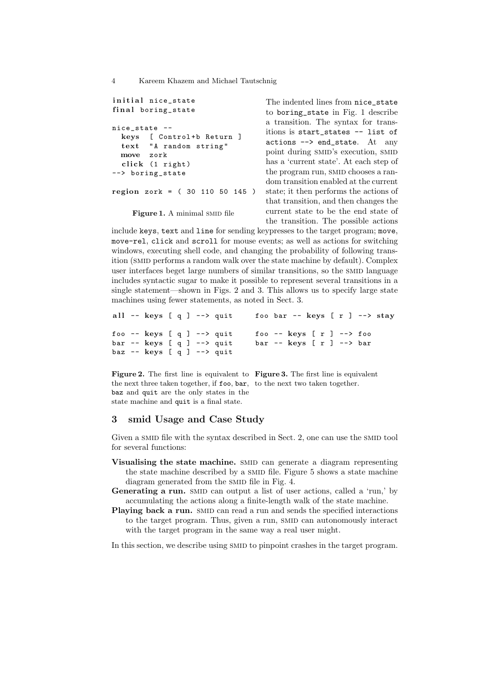4 Kareem Khazem and Michael Tautschnig

```
initial nice_state
final boring_state
nice_state --
 keys [ Control+b Return ]
  text "A random string"
 move zork
  click (1 right)
--> boring_state
reg ion zork = ( 30 110 50 145 )
```
Figure 1. A minimal SMID file

The indented lines from nice\_state to boring\_state in Fig. 1 describe a transition. The syntax for transitions is start\_states -- list of actions --> end\_state. At any point during SMID's execution, SMID has a 'current state'. At each step of the program run, SMID chooses a random transition enabled at the current state; it then performs the actions of that transition, and then changes the current state to be the end state of the transition. The possible actions

include keys, text and line for sending keypresses to the target program; move, move-rel, click and scroll for mouse events; as well as actions for switching windows, executing shell code, and changing the probability of following transition (smid performs a random walk over the state machine by default). Complex user interfaces beget large numbers of similar transitions, so the SMID language includes syntactic sugar to make it possible to represent several transitions in a single statement—shown in Figs. 2 and 3. This allows us to specify large state machines using fewer statements, as noted in Sect. 3.

```
all - keys [ q ] - > quit
foo -- keys [ q ] --> quit
bar - keys \lceil q \rceil -> quit
baz - keys \begin{bmatrix} 1 & 1 \\ 1 & -2 \end{bmatrix} quit
                                      foo bar -- keys [ r ] --> stay
                                      foo -- keys [ r ] --> foo
                                      bar -- keys [ r ] --> bar
```
Figure 2. The first line is equivalent to Figure 3. The first line is equivalent the next three taken together, if foo, bar, to the next two taken together. baz and quit are the only states in the state machine and quit is a final state.

## 3 smid Usage and Case Study

Given a sMID file with the syntax described in Sect. 2, one can use the SMID tool for several functions:

- Visualising the state machine. smid can generate a diagram representing the state machine described by a SMID file. Figure 5 shows a state machine diagram generated from the SMID file in Fig. 4.
- Generating a run. SMID can output a list of user actions, called a 'run,' by accumulating the actions along a finite-length walk of the state machine.
- Playing back a run. SMID can read a run and sends the specified interactions to the target program. Thus, given a run, SMID can autonomously interact with the target program in the same way a real user might.

In this section, we describe using SMID to pinpoint crashes in the target program.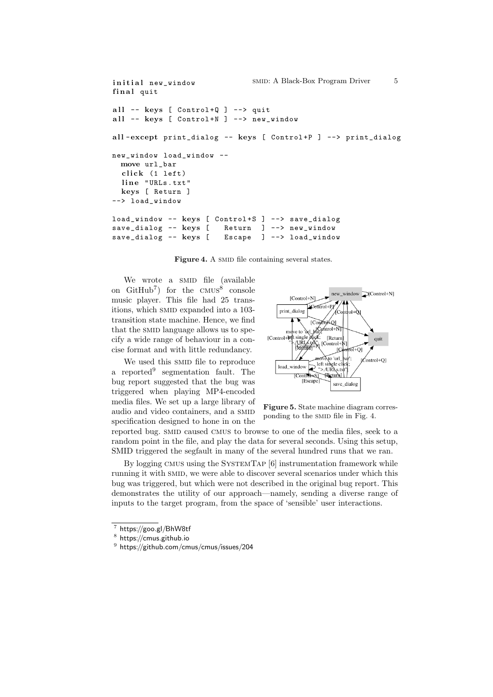```
initial new_window SMID: A Black-Box Program Driver 5
final quit
all - keys [ Control + Q ] - > quit
all -- keys [ Control + N ] --> new_window
all-except print_dialog -- keys [ Control+P ] --> print_dialog
new_window load_window --
 move url_bar
  click (1 left)
  line "URLs.txt"
 keys [ Return ]
--> load_window
load\_window -- keys [ Control+S ] --> save_dialog
save_dialog -- keys [ Return ] --> new_window
save_dialog -- keys [ Escape ] --> load_window
```
Figure 4. A SMID file containing several states.

We wrote a SMID file (available on  $\text{GitHub}^7$  for the  $\text{CMUS}^8$  console music player. This file had 25 transitions, which smid expanded into a 103 transition state machine. Hence, we find that the SMID language allows us to specify a wide range of behaviour in a concise format and with little redundancy.

We used this SMID file to reproduce a reported<sup>9</sup> segmentation fault. The bug report suggested that the bug was triggered when playing MP4-encoded media files. We set up a large library of audio and video containers, and a SMID specification designed to hone in on the



Figure 5. State machine diagram corresponding to the SMID file in Fig. 4.

reported bug. SMID caused CMUS to browse to one of the media files, seek to a random point in the file, and play the data for several seconds. Using this setup, SMID triggered the segfault in many of the several hundred runs that we ran.

By logging CMUS using the SYSTEMTAP [6] instrumentation framework while running it with smid, we were able to discover several scenarios under which this bug was triggered, but which were not described in the original bug report. This demonstrates the utility of our approach—namely, sending a diverse range of inputs to the target program, from the space of 'sensible' user interactions.

<sup>7</sup> https://goo.gl/BhW8tf

<sup>8</sup> https://cmus.github.io

 $^9$  https://github.com/cmus/cmus/issues/204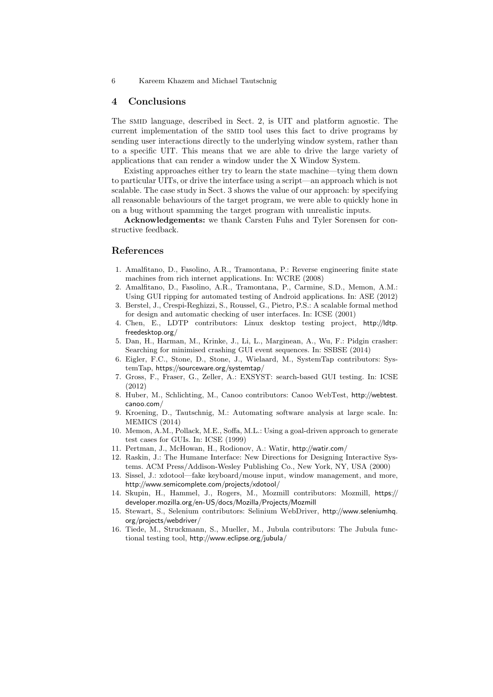6 Kareem Khazem and Michael Tautschnig

### 4 Conclusions

The smid language, described in Sect. 2, is UIT and platform agnostic. The current implementation of the SMID tool uses this fact to drive programs by sending user interactions directly to the underlying window system, rather than to a specific UIT. This means that we are able to drive the large variety of applications that can render a window under the X Window System.

Existing approaches either try to learn the state machine—tying them down to particular UITs, or drive the interface using a script—an approach which is not scalable. The case study in Sect. 3 shows the value of our approach: by specifying all reasonable behaviours of the target program, we were able to quickly hone in on a bug without spamming the target program with unrealistic inputs.

Acknowledgements: we thank Carsten Fuhs and Tyler Sorensen for constructive feedback.

### References

- 1. Amalfitano, D., Fasolino, A.R., Tramontana, P.: Reverse engineering finite state machines from rich internet applications. In: WCRE (2008)
- 2. Amalfitano, D., Fasolino, A.R., Tramontana, P., Carmine, S.D., Memon, A.M.: Using GUI ripping for automated testing of Android applications. In: ASE (2012)
- 3. Berstel, J., Crespi-Reghizzi, S., Roussel, G., Pietro, P.S.: A scalable formal method for design and automatic checking of user interfaces. In: ICSE (2001)
- 4. Chen, E., LDTP contributors: Linux desktop testing project, http://ldtp. freedesktop.org/
- 5. Dan, H., Harman, M., Krinke, J., Li, L., Marginean, A., Wu, F.: Pidgin crasher: Searching for minimised crashing GUI event sequences. In: SSBSE (2014)
- 6. Eigler, F.C., Stone, D., Stone, J., Wielaard, M., SystemTap contributors: SystemTap, https://sourceware.org/systemtap/
- 7. Gross, F., Fraser, G., Zeller, A.: EXSYST: search-based GUI testing. In: ICSE (2012)
- 8. Huber, M., Schlichting, M., Canoo contributors: Canoo WebTest, http://webtest. canoo.com/
- 9. Kroening, D., Tautschnig, M.: Automating software analysis at large scale. In: MEMICS (2014)
- 10. Memon, A.M., Pollack, M.E., Soffa, M.L.: Using a goal-driven approach to generate test cases for GUIs. In: ICSE (1999)
- 11. Pertman, J., McHowan, H., Rodionov, A.: Watir, http://watir.com/
- 12. Raskin, J.: The Humane Interface: New Directions for Designing Interactive Systems. ACM Press/Addison-Wesley Publishing Co., New York, NY, USA (2000)
- 13. Sissel, J.: xdotool—fake keyboard/mouse input, window management, and more, http://www.semicomplete.com/projects/xdotool/
- 14. Skupin, H., Hammel, J., Rogers, M., Mozmill contributors: Mozmill, https:// developer.mozilla.org/en-US/docs/Mozilla/Projects/Mozmill
- 15. Stewart, S., Selenium contributors: Selinium WebDriver, http://www.seleniumhq. org/projects/webdriver/
- 16. Tiede, M., Struckmann, S., Mueller, M., Jubula contributors: The Jubula functional testing tool, http://www.eclipse.org/jubula/